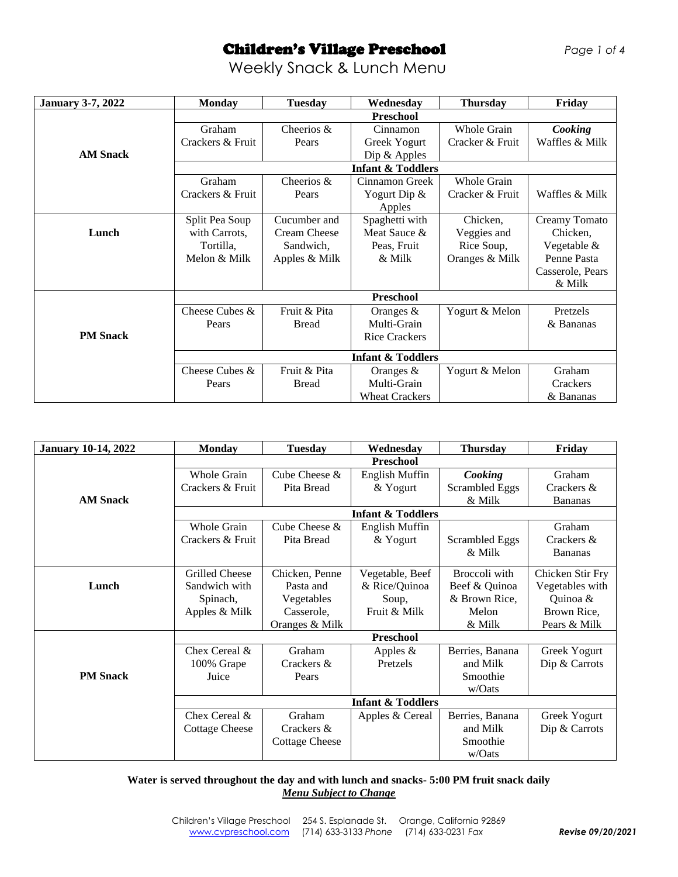# Children's Village Preschool*Page 1 of 4*

Weekly Snack & Lunch Menu

| <b>January 3-7, 2022</b> | <b>Monday</b>    | <b>Tuesday</b>      | Wednesday                    | <b>Thursday</b>    | Friday           |  |
|--------------------------|------------------|---------------------|------------------------------|--------------------|------------------|--|
|                          |                  |                     | <b>Preschool</b>             |                    |                  |  |
|                          | Graham           | Cheerios $\&$       | Cinnamon                     | Whole Grain        | Cooking          |  |
|                          | Crackers & Fruit | Pears               | Greek Yogurt                 | Cracker & Fruit    | Waffles & Milk   |  |
| <b>AM Snack</b>          |                  |                     | Dip $&$ Apples               |                    |                  |  |
|                          |                  |                     | <b>Infant &amp; Toddlers</b> |                    |                  |  |
|                          | Graham           | Cheerios &          | Cinnamon Greek               | <b>Whole Grain</b> |                  |  |
|                          | Crackers & Fruit | Pears               | Yogurt Dip &                 | Cracker & Fruit    | Waffles & Milk   |  |
|                          |                  |                     | Apples                       |                    |                  |  |
|                          | Split Pea Soup   | Cucumber and        | Spaghetti with               | Chicken,           | Creamy Tomato    |  |
| Lunch                    | with Carrots,    | <b>Cream Cheese</b> | Meat Sauce &                 | Veggies and        | Chicken,         |  |
|                          | Tortilla,        | Sandwich,           | Peas, Fruit                  | Rice Soup,         | Vegetable &      |  |
|                          | Melon & Milk     | Apples & Milk       | & Milk                       | Oranges & Milk     | Penne Pasta      |  |
|                          |                  |                     |                              |                    | Casserole, Pears |  |
|                          |                  |                     |                              |                    | & Milk           |  |
|                          | <b>Preschool</b> |                     |                              |                    |                  |  |
|                          | Cheese Cubes &   | Fruit & Pita        | Oranges $&$                  | Yogurt & Melon     | Pretzels         |  |
|                          | Pears            | <b>Bread</b>        | Multi-Grain                  |                    | & Bananas        |  |
| <b>PM</b> Snack          |                  |                     | <b>Rice Crackers</b>         |                    |                  |  |
|                          |                  |                     | <b>Infant &amp; Toddlers</b> |                    |                  |  |
|                          | Cheese Cubes &   | Fruit & Pita        | Oranges $&$                  | Yogurt & Melon     | Graham           |  |
|                          | Pears            | <b>Bread</b>        | Multi-Grain                  |                    | Crackers         |  |
|                          |                  |                     | <b>Wheat Crackers</b>        |                    | & Bananas        |  |

| <b>January 10-14, 2022</b> | <b>Monday</b>                | <b>Tuesday</b>        | Wednesday                    | <b>Thursday</b>       | Friday           |  |
|----------------------------|------------------------------|-----------------------|------------------------------|-----------------------|------------------|--|
|                            |                              |                       | <b>Preschool</b>             |                       |                  |  |
|                            | Whole Grain                  | Cube Cheese &         | English Muffin               | Cooking               | Graham           |  |
|                            | Crackers & Fruit             | Pita Bread            | & Yogurt                     | <b>Scrambled Eggs</b> | Crackers &       |  |
| <b>AM Snack</b>            |                              |                       |                              | & Milk                | <b>Bananas</b>   |  |
|                            |                              |                       | <b>Infant &amp; Toddlers</b> |                       |                  |  |
|                            | Whole Grain                  | Cube Cheese &         | English Muffin               |                       | Graham           |  |
|                            | Crackers & Fruit             | Pita Bread            | & Yogurt                     | <b>Scrambled Eggs</b> | Crackers &       |  |
|                            |                              |                       |                              | & Milk                | <b>Bananas</b>   |  |
|                            | <b>Grilled Cheese</b>        | Chicken, Penne        | Vegetable, Beef              | Broccoli with         | Chicken Stir Fry |  |
| Lunch                      | Sandwich with                | Pasta and             | & Rice/Quinoa                | Beef & Quinoa         | Vegetables with  |  |
|                            | Spinach,                     | Vegetables            | Soup,                        | & Brown Rice,         | Quinoa &         |  |
|                            | Apples & Milk                | Casserole,            | Fruit & Milk                 | Melon                 | Brown Rice,      |  |
|                            |                              | Oranges & Milk        |                              | & Milk                | Pears & Milk     |  |
|                            | Preschool                    |                       |                              |                       |                  |  |
|                            | Chex Cereal &                | Graham                | Apples $&$                   | Berries, Banana       | Greek Yogurt     |  |
|                            | 100% Grape                   | Crackers &            | Pretzels                     | and Milk              | Dip & Carrots    |  |
| <b>PM</b> Snack            | Juice                        | Pears                 |                              | Smoothie              |                  |  |
|                            |                              |                       |                              | w/Oats                |                  |  |
|                            | <b>Infant &amp; Toddlers</b> |                       |                              |                       |                  |  |
|                            | Chex Cereal &                | Graham                | Apples & Cereal              | Berries, Banana       | Greek Yogurt     |  |
|                            | <b>Cottage Cheese</b>        | Crackers &            |                              | and Milk              | Dip & Carrots    |  |
|                            |                              | <b>Cottage Cheese</b> |                              | Smoothie              |                  |  |
|                            |                              |                       |                              | w/Oats                |                  |  |

**Water is served throughout the day and with lunch and snacks- 5:00 PM fruit snack daily** *Menu Subject to Change*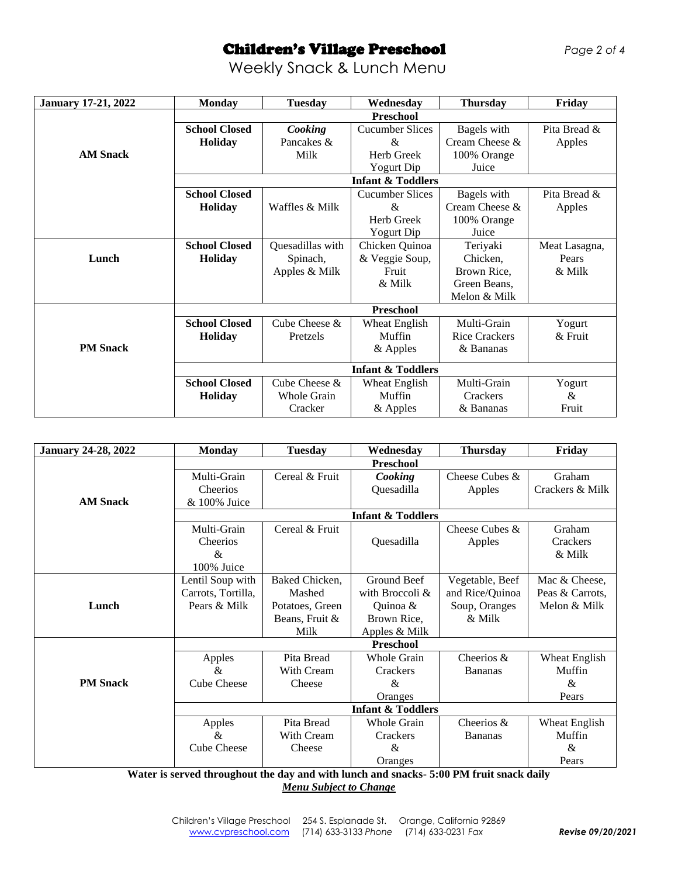# Children's Village Preschool*Page 2 of 4*

#### Weekly Snack & Lunch Menu

| <b>January 17-21, 2022</b> | <b>Monday</b>                | <b>Tuesday</b>     | Wednesday                    | <b>Thursday</b>      | Friday        |  |
|----------------------------|------------------------------|--------------------|------------------------------|----------------------|---------------|--|
|                            | Preschool                    |                    |                              |                      |               |  |
|                            | <b>School Closed</b>         | Cooking            | <b>Cucumber Slices</b>       | Bagels with          | Pita Bread &  |  |
|                            | <b>Holiday</b>               | Pancakes &         | &                            | Cream Cheese &       | Apples        |  |
| <b>AM Snack</b>            |                              | Milk               | Herb Greek                   | 100% Orange          |               |  |
|                            |                              |                    | Yogurt Dip                   | Juice                |               |  |
|                            |                              |                    | <b>Infant &amp; Toddlers</b> |                      |               |  |
|                            | <b>School Closed</b>         |                    | <b>Cucumber Slices</b>       | Bagels with          | Pita Bread &  |  |
|                            | <b>Holiday</b>               | Waffles & Milk     | &                            | Cream Cheese &       | Apples        |  |
|                            |                              |                    | Herb Greek                   | 100% Orange          |               |  |
|                            |                              |                    | Yogurt Dip                   | Juice                |               |  |
|                            | <b>School Closed</b>         | Quesadillas with   | Chicken Quinoa               | Teriyaki             | Meat Lasagna, |  |
| Lunch                      | Holiday                      | Spinach,           | & Veggie Soup,               | Chicken,             | Pears         |  |
|                            |                              | Apples & Milk      | Fruit                        | Brown Rice,          | & Milk        |  |
|                            |                              |                    | & Milk                       | Green Beans,         |               |  |
|                            |                              |                    |                              | Melon & Milk         |               |  |
|                            | <b>Preschool</b>             |                    |                              |                      |               |  |
|                            | <b>School Closed</b>         | Cube Cheese &      | Wheat English                | Multi-Grain          | Yogurt        |  |
|                            | <b>Holiday</b>               | Pretzels           | Muffin                       | <b>Rice Crackers</b> | $&$ Fruit     |  |
| <b>PM</b> Snack            |                              |                    | & Apples                     | & Bananas            |               |  |
|                            | <b>Infant &amp; Toddlers</b> |                    |                              |                      |               |  |
|                            | <b>School Closed</b>         | Cube Cheese &      | Wheat English                | Multi-Grain          | Yogurt        |  |
|                            | Holiday                      | <b>Whole Grain</b> | Muffin                       | Crackers             | &             |  |
|                            |                              | Cracker            | & Apples                     | & Bananas            | Fruit         |  |

| <b>January 24-28, 2022</b> | <b>Monday</b>                | <b>Tuesday</b>  | Wednesday                    | <b>Thursday</b> | Friday          |  |
|----------------------------|------------------------------|-----------------|------------------------------|-----------------|-----------------|--|
|                            | Preschool                    |                 |                              |                 |                 |  |
|                            | Multi-Grain                  | Cereal & Fruit  | Cooking                      | Cheese Cubes &  | Graham          |  |
|                            | Cheerios                     |                 | Quesadilla                   | Apples          | Crackers & Milk |  |
| <b>AM Snack</b>            | & 100% Juice                 |                 |                              |                 |                 |  |
|                            |                              |                 | <b>Infant &amp; Toddlers</b> |                 |                 |  |
|                            | Multi-Grain                  | Cereal & Fruit  |                              | Cheese Cubes &  | Graham          |  |
|                            | Cheerios                     |                 | Quesadilla                   | Apples          | Crackers        |  |
|                            | &                            |                 |                              |                 | & Milk          |  |
|                            | 100% Juice                   |                 |                              |                 |                 |  |
|                            | Lentil Soup with             | Baked Chicken,  | Ground Beef                  | Vegetable, Beef | Mac & Cheese,   |  |
|                            | Carrots, Tortilla,           | Mashed          | with Broccoli &              | and Rice/Quinoa | Peas & Carrots, |  |
| Lunch                      | Pears & Milk                 | Potatoes, Green | Quinoa &                     | Soup, Oranges   | Melon & Milk    |  |
|                            |                              | Beans, Fruit &  | Brown Rice,                  | & Milk          |                 |  |
|                            |                              | Milk            | Apples & Milk                |                 |                 |  |
|                            | Preschool                    |                 |                              |                 |                 |  |
|                            | Apples                       | Pita Bread      | <b>Whole Grain</b>           | Cheerios &      | Wheat English   |  |
|                            | &                            | With Cream      | Crackers                     | <b>Bananas</b>  | Muffin          |  |
| <b>PM</b> Snack            | <b>Cube Cheese</b>           | Cheese          | &                            |                 | &               |  |
|                            |                              |                 | Oranges                      |                 | Pears           |  |
|                            | <b>Infant &amp; Toddlers</b> |                 |                              |                 |                 |  |
|                            | Apples                       | Pita Bread      | <b>Whole Grain</b>           | Cheerios &      | Wheat English   |  |
|                            | &                            | With Cream      | Crackers                     | <b>Bananas</b>  | Muffin          |  |
|                            | <b>Cube Cheese</b>           | Cheese          | &                            |                 | &               |  |
|                            |                              |                 | Oranges                      |                 | Pears           |  |

**Water is served throughout the day and with lunch and snacks- 5:00 PM fruit snack daily** *Menu Subject to Change*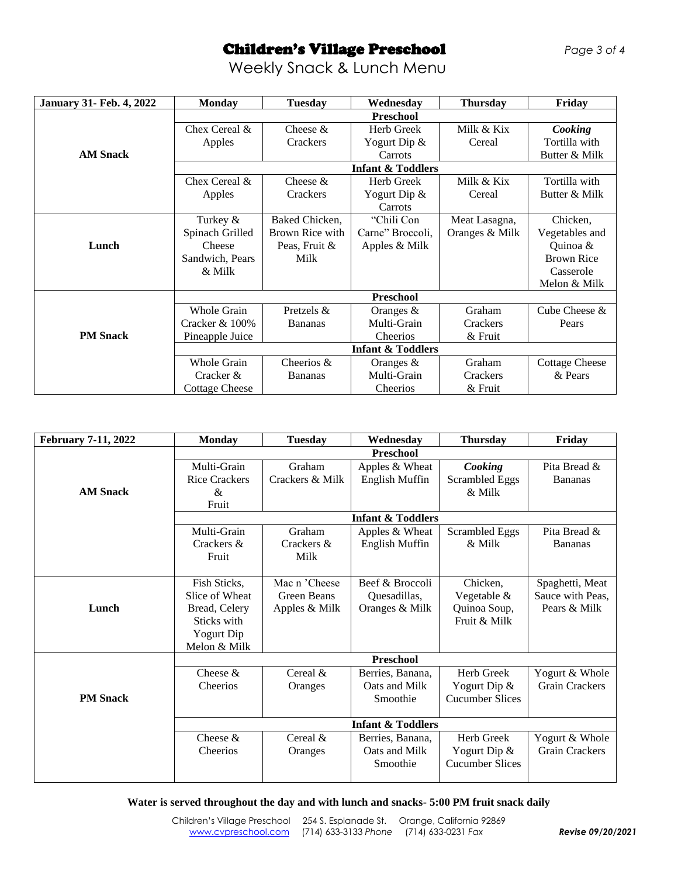# Children's Village Preschool*Page 3 of 4*

Weekly Snack & Lunch Menu

| <b>January 31- Feb. 4, 2022</b> | <b>Monday</b>                | <b>Tuesday</b>  | Wednesday                    | <b>Thursday</b> | Friday                |  |  |
|---------------------------------|------------------------------|-----------------|------------------------------|-----------------|-----------------------|--|--|
|                                 |                              |                 | Preschool                    |                 |                       |  |  |
|                                 | Chex Cereal &                | Cheese $&$      | Herb Greek                   | Milk & Kix      | Cooking               |  |  |
|                                 | Apples                       | Crackers        | Yogurt Dip $\&$              | Cereal          | Tortilla with         |  |  |
| <b>AM Snack</b>                 |                              |                 | Carrots                      |                 | Butter & Milk         |  |  |
|                                 | <b>Infant &amp; Toddlers</b> |                 |                              |                 |                       |  |  |
|                                 | Chex Cereal &                | Cheese $&$      | Herb Greek                   | Milk & Kix      | Tortilla with         |  |  |
|                                 | Apples                       | Crackers        | Yogurt Dip &                 | Cereal          | Butter & Milk         |  |  |
|                                 |                              |                 | Carrots                      |                 |                       |  |  |
|                                 | Turkey $&$                   | Baked Chicken,  | "Chili Con                   | Meat Lasagna,   | Chicken,              |  |  |
|                                 | Spinach Grilled              | Brown Rice with | Carne" Broccoli,             | Oranges & Milk  | Vegetables and        |  |  |
| Lunch                           | Cheese                       | Peas, Fruit &   | Apples & Milk                |                 | Quinoa &              |  |  |
|                                 | Sandwich, Pears              | Milk            |                              |                 | <b>Brown Rice</b>     |  |  |
|                                 | & Milk                       |                 |                              |                 | Casserole             |  |  |
|                                 |                              |                 |                              |                 | Melon & Milk          |  |  |
|                                 | <b>Preschool</b>             |                 |                              |                 |                       |  |  |
|                                 | <b>Whole Grain</b>           | Pretzels &      | Oranges $\&$                 | Graham          | Cube Cheese &         |  |  |
|                                 | Cracker $& 100\%$            | <b>Bananas</b>  | Multi-Grain                  | Crackers        | Pears                 |  |  |
| <b>PM</b> Snack                 | Pineapple Juice              |                 | Cheerios                     | $&$ Fruit       |                       |  |  |
|                                 |                              |                 | <b>Infant &amp; Toddlers</b> |                 |                       |  |  |
|                                 | <b>Whole Grain</b>           | Cheerios &      | Oranges $&$                  | Graham          | <b>Cottage Cheese</b> |  |  |
|                                 | Cracker &                    | <b>Bananas</b>  | Multi-Grain                  | Crackers        | & Pears               |  |  |
|                                 | <b>Cottage Cheese</b>        |                 | Cheerios                     | $&$ Fruit       |                       |  |  |

| <b>February 7-11, 2022</b> | <b>Monday</b>        | <b>Tuesday</b>               | Wednesday                    | <b>Thursday</b>        | Friday                |  |  |  |
|----------------------------|----------------------|------------------------------|------------------------------|------------------------|-----------------------|--|--|--|
|                            | <b>Preschool</b>     |                              |                              |                        |                       |  |  |  |
|                            | Multi-Grain          | Graham                       | Apples & Wheat               | Cooking                | Pita Bread &          |  |  |  |
|                            | <b>Rice Crackers</b> | Crackers & Milk              | English Muffin               | <b>Scrambled Eggs</b>  | <b>Bananas</b>        |  |  |  |
| <b>AM Snack</b>            | $\&$                 |                              |                              | $&$ Milk               |                       |  |  |  |
|                            | Fruit                |                              |                              |                        |                       |  |  |  |
|                            |                      | <b>Infant &amp; Toddlers</b> |                              |                        |                       |  |  |  |
|                            | Multi-Grain          | Graham                       | Apples & Wheat               | <b>Scrambled Eggs</b>  | Pita Bread &          |  |  |  |
|                            | Crackers &           | Crackers &                   | English Muffin               | $&$ Milk               | <b>Bananas</b>        |  |  |  |
|                            | Fruit                | Milk                         |                              |                        |                       |  |  |  |
|                            |                      |                              |                              |                        |                       |  |  |  |
|                            | Fish Sticks,         | Mac n 'Cheese                | Beef & Broccoli              | Chicken.               | Spaghetti, Meat       |  |  |  |
|                            | Slice of Wheat       | Green Beans                  | Ouesadillas,                 | Vegetable &            | Sauce with Peas,      |  |  |  |
| Lunch                      | Bread, Celery        | Apples & Milk                | Oranges & Milk               | Quinoa Soup,           | Pears & Milk          |  |  |  |
|                            | Sticks with          |                              |                              | Fruit & Milk           |                       |  |  |  |
|                            | Yogurt Dip           |                              |                              |                        |                       |  |  |  |
|                            | Melon & Milk         |                              |                              |                        |                       |  |  |  |
|                            | <b>Preschool</b>     |                              |                              |                        |                       |  |  |  |
|                            | Cheese $\&$          | Cereal $\&$                  | Berries, Banana,             | Herb Greek             | Yogurt & Whole        |  |  |  |
|                            | <b>Cheerios</b>      | Oranges                      | Oats and Milk                | Yogurt Dip &           | <b>Grain Crackers</b> |  |  |  |
| <b>PM</b> Snack            |                      |                              | Smoothie                     | <b>Cucumber Slices</b> |                       |  |  |  |
|                            |                      |                              |                              |                        |                       |  |  |  |
|                            |                      |                              | <b>Infant &amp; Toddlers</b> |                        |                       |  |  |  |
|                            | Cheese $&$           | Cereal $\&$                  | Berries, Banana,             | Herb Greek             | Yogurt & Whole        |  |  |  |
|                            | Cheerios             | Oranges                      | Oats and Milk                | Yogurt Dip &           | <b>Grain Crackers</b> |  |  |  |
|                            |                      |                              | Smoothie                     | <b>Cucumber Slices</b> |                       |  |  |  |
|                            |                      |                              |                              |                        |                       |  |  |  |

**Water is served throughout the day and with lunch and snacks- 5:00 PM fruit snack daily**